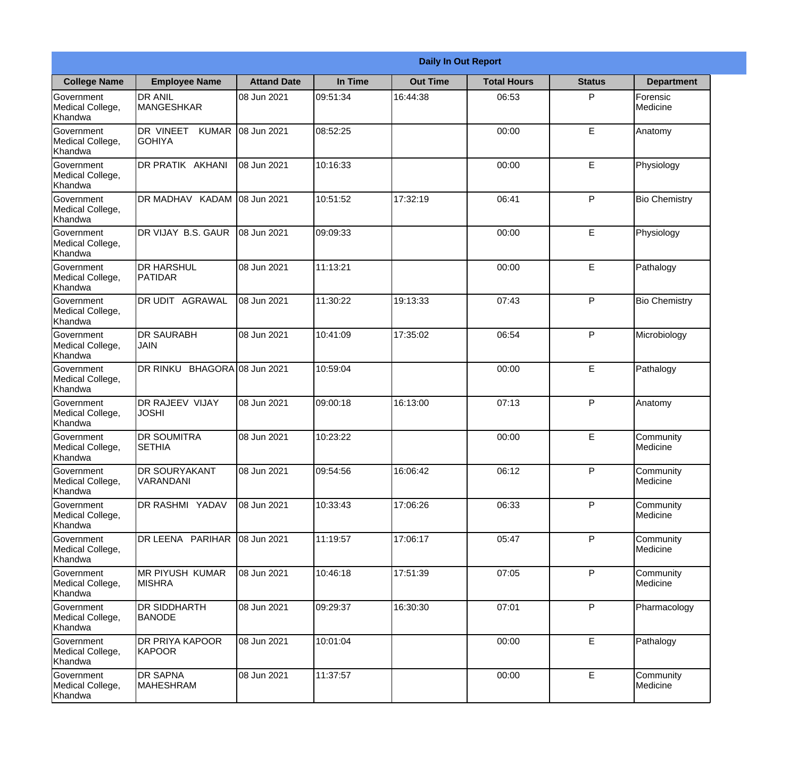|                                                  | <b>Daily In Out Report</b>                 |                     |          |                 |                    |               |                       |  |  |
|--------------------------------------------------|--------------------------------------------|---------------------|----------|-----------------|--------------------|---------------|-----------------------|--|--|
| <b>College Name</b>                              | <b>Employee Name</b>                       | <b>Attand Date</b>  | In Time  | <b>Out Time</b> | <b>Total Hours</b> | <b>Status</b> | <b>Department</b>     |  |  |
| Government<br>Medical College,<br>Khandwa        | <b>DR ANIL</b><br><b>MANGESHKAR</b>        | 08 Jun 2021         | 09:51:34 | 16:44:38        | 06:53              | P             | Forensic<br>Medicine  |  |  |
| Government<br>Medical College,<br>Khandwa        | DR VINEET<br><b>KUMAR</b><br><b>GOHIYA</b> | 08 Jun 2021         | 08:52:25 |                 | 00:00              | E             | Anatomy               |  |  |
| <b>Government</b><br>Medical College,<br>Khandwa | <b>DR PRATIK AKHANI</b>                    | 08 Jun 2021         | 10:16:33 |                 | 00:00              | E             | Physiology            |  |  |
| Government<br>Medical College,<br>Khandwa        | DR MADHAV KADAM                            | 08 Jun 2021         | 10:51:52 | 17:32:19        | 06:41              | P             | <b>Bio Chemistry</b>  |  |  |
| Government<br>Medical College,<br>Khandwa        | <b>IDR VIJAY B.S. GAUR</b>                 | 08 Jun 2021         | 09:09:33 |                 | 00:00              | E             | Physiology            |  |  |
| Government<br>Medical College,<br>Khandwa        | <b>DR HARSHUL</b><br><b>PATIDAR</b>        | 08 Jun 2021         | 11:13:21 |                 | 00:00              | E             | Pathalogy             |  |  |
| Government<br>Medical College,<br>Khandwa        | <b>DR UDIT AGRAWAL</b>                     | 08 Jun 2021         | 11:30:22 | 19:13:33        | 07:43              | P             | <b>Bio Chemistry</b>  |  |  |
| Government<br>Medical College,<br>Khandwa        | <b>DR SAURABH</b><br><b>JAIN</b>           | 08 Jun 2021         | 10:41:09 | 17:35:02        | 06:54              | P             | Microbiology          |  |  |
| Government<br>Medical College,<br>Khandwa        | DR RINKU                                   | BHAGORA 08 Jun 2021 | 10:59:04 |                 | 00:00              | E             | Pathalogy             |  |  |
| Government<br>Medical College,<br>Khandwa        | <b>DR RAJEEV VIJAY</b><br><b>JOSHI</b>     | 08 Jun 2021         | 09:00:18 | 16:13:00        | 07:13              | P             | Anatomy               |  |  |
| Government<br>Medical College,<br>Khandwa        | <b>DR SOUMITRA</b><br><b>SETHIA</b>        | 08 Jun 2021         | 10:23:22 |                 | 00:00              | E             | Community<br>Medicine |  |  |
| Government<br>Medical College,<br>Khandwa        | <b>DR SOURYAKANT</b><br>VARANDANI          | 08 Jun 2021         | 09:54:56 | 16:06:42        | 06:12              | P             | Community<br>Medicine |  |  |
| Government<br>Medical College,<br>Khandwa        | <b>DR RASHMI YADAV</b>                     | 08 Jun 2021         | 10:33:43 | 17:06:26        | 06:33              | P             | Community<br>Medicine |  |  |
| Government<br>Medical College,<br>Khandwa        | DR LEENA PARIHAR                           | 08 Jun 2021         | 11:19:57 | 17:06:17        | 05:47              | P             | Community<br>Medicine |  |  |
| Government<br>Medical College,<br>Khandwa        | <b>MR PIYUSH KUMAR</b><br><b>MISHRA</b>    | 08 Jun 2021         | 10:46:18 | 17:51:39        | 07:05              | $\mathsf{P}$  | Community<br>Medicine |  |  |
| Government<br>Medical College,<br>Khandwa        | <b>DR SIDDHARTH</b><br><b>BANODE</b>       | 08 Jun 2021         | 09:29:37 | 16:30:30        | 07:01              | P             | Pharmacology          |  |  |
| Government<br>Medical College,<br>Khandwa        | <b>DR PRIYA KAPOOR</b><br>KAPOOR           | 08 Jun 2021         | 10:01:04 |                 | 00:00              | E             | Pathalogy             |  |  |
| Government<br>Medical College,<br>Khandwa        | <b>DR SAPNA</b><br>MAHESHRAM               | 08 Jun 2021         | 11:37:57 |                 | 00:00              | E             | Community<br>Medicine |  |  |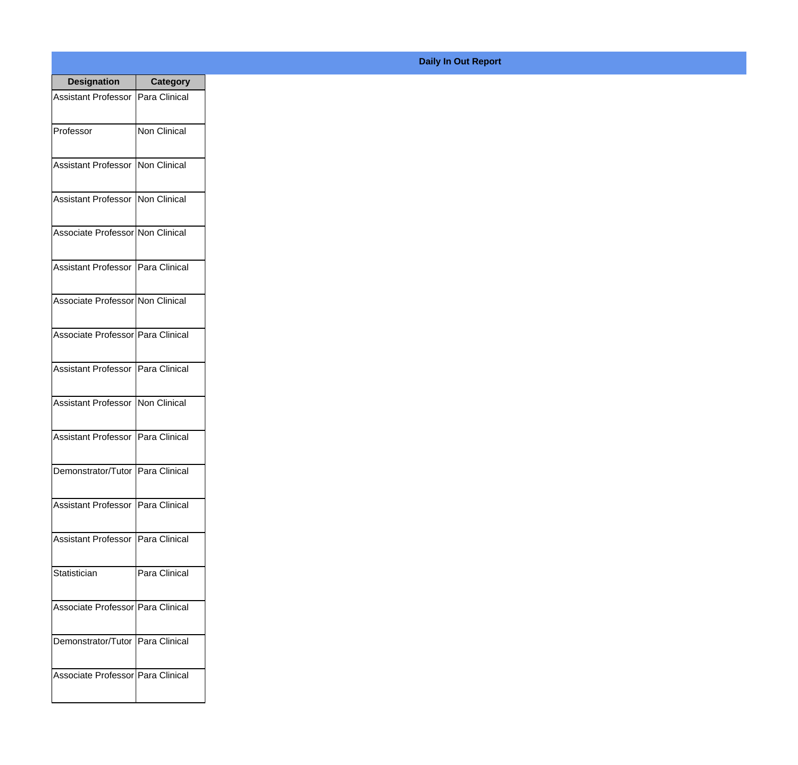| <b>Designation</b>                  | <b>Category</b>     |
|-------------------------------------|---------------------|
| Assistant Professor                 | Para Clinical       |
| Professor                           | <b>Non Clinical</b> |
| <b>Assistant Professor</b>          | Non Clinical        |
| <b>Assistant Professor</b>          | Non Clinical        |
| Associate Professor Non Clinical    |                     |
| Assistant Professor   Para Clinical |                     |
| Associate Professor Non Clinical    |                     |
| Associate Professor   Para Clinical |                     |
| Assistant Professor   Para Clinical |                     |
| <b>Assistant Professor</b>          | Non Clinical        |
| <b>Assistant Professor</b>          | Para Clinical       |
| Demonstrator/Tutor   Para Clinical  |                     |
| <b>Assistant Professor</b>          | Para Clinical       |
| Assistant Professor   Para Clinical |                     |
| Statistician                        | Para Clinical       |
| Associate Professor   Para Clinical |                     |
| Demonstrator/Tutor                  | Para Clinical       |
| Associate Professor   Para Clinical |                     |

## **Daily In Out Report**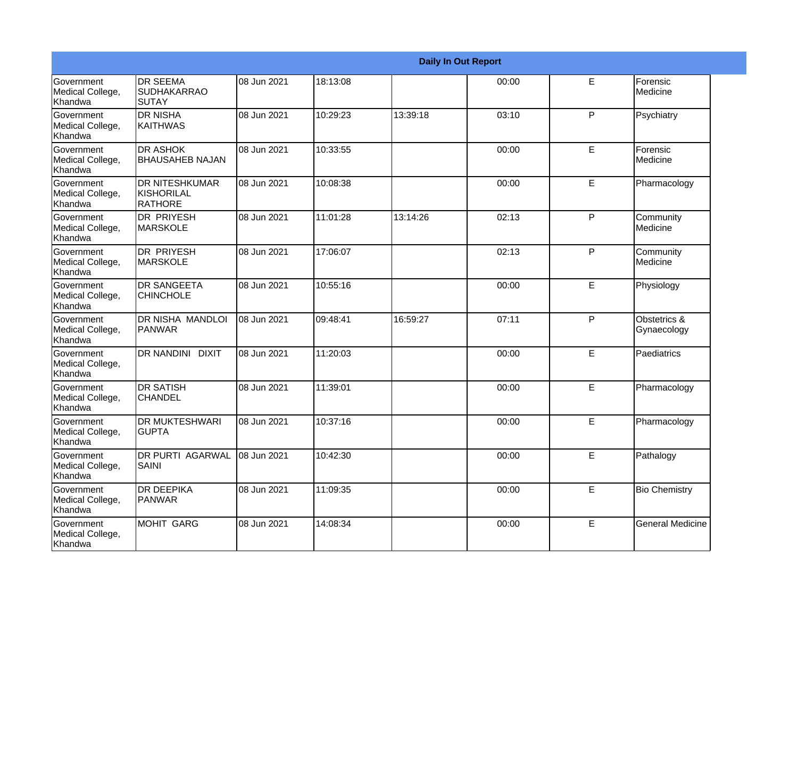|                                                  |                                                  |             |          |          | <b>Daily In Out Report</b> |   |                             |
|--------------------------------------------------|--------------------------------------------------|-------------|----------|----------|----------------------------|---|-----------------------------|
| Government<br>Medical College,<br>Khandwa        | <b>IDR SEEMA</b><br><b>SUDHAKARRAO</b><br>ISUTAY | 08 Jun 2021 | 18:13:08 |          | 00:00                      | E | Forensic<br>Medicine        |
| Government<br>Medical College,<br>Khandwa        | IDR NISHA<br> KAITHWAS                           | 08 Jun 2021 | 10:29:23 | 13:39:18 | 03:10                      | P | Psychiatry                  |
| <b>Government</b><br>Medical College,<br>Khandwa | <b>I</b> DR ASHOK<br><b>BHAUSAHEB NAJAN</b>      | 08 Jun 2021 | 10:33:55 |          | 00:00                      | E | Forensic<br>Medicine        |
| Government<br>Medical College,<br>Khandwa        | <b>DR NITESHKUMAR</b><br>KISHORILAL<br>RATHORE   | 08 Jun 2021 | 10:08:38 |          | 00:00                      | E | Pharmacology                |
| Government<br>Medical College,<br><b>Khandwa</b> | <b>DR PRIYESH</b><br><b>MARSKOLE</b>             | 08 Jun 2021 | 11:01:28 | 13:14:26 | 02:13                      | P | Community<br>Medicine       |
| Government<br>Medical College,<br>Khandwa        | DR PRIYESH<br><b>MARSKOLE</b>                    | 08 Jun 2021 | 17:06:07 |          | 02:13                      | P | Community<br>Medicine       |
| <b>Government</b><br>Medical College,<br>Khandwa | <b>IDR SANGEETA</b><br><b>CHINCHOLE</b>          | 08 Jun 2021 | 10:55:16 |          | 00:00                      | E | Physiology                  |
| Government<br>Medical College,<br>Khandwa        | DR NISHA MANDLOI<br><b>PANWAR</b>                | 08 Jun 2021 | 09:48:41 | 16:59:27 | 07:11                      | P | Obstetrics &<br>Gynaecology |
| Government<br>Medical College,<br>Khandwa        | DR NANDINI DIXIT                                 | 08 Jun 2021 | 11:20:03 |          | 00:00                      | E | Paediatrics                 |
| <b>Government</b><br>Medical College,<br>Khandwa | IDR SATISH<br><b>CHANDEL</b>                     | 08 Jun 2021 | 11:39:01 |          | 00:00                      | E | Pharmacology                |
| <b>Government</b><br>Medical College,<br>Khandwa | <b>DR MUKTESHWARI</b><br><b>GUPTA</b>            | 08 Jun 2021 | 10:37:16 |          | 00:00                      | E | Pharmacology                |
| Government<br>Medical College,<br>Khandwa        | <b>DR PURTI AGARWAL</b><br><b>SAINI</b>          | 08 Jun 2021 | 10:42:30 |          | 00:00                      | E | Pathalogy                   |
| Government<br>Medical College,<br>Khandwa        | <b>DR DEEPIKA</b><br>PANWAR                      | 08 Jun 2021 | 11:09:35 |          | 00:00                      | E | <b>Bio Chemistry</b>        |
| Government<br>Medical College,<br>Khandwa        | MOHIT GARG                                       | 08 Jun 2021 | 14:08:34 |          | 00:00                      | E | <b>General Medicine</b>     |